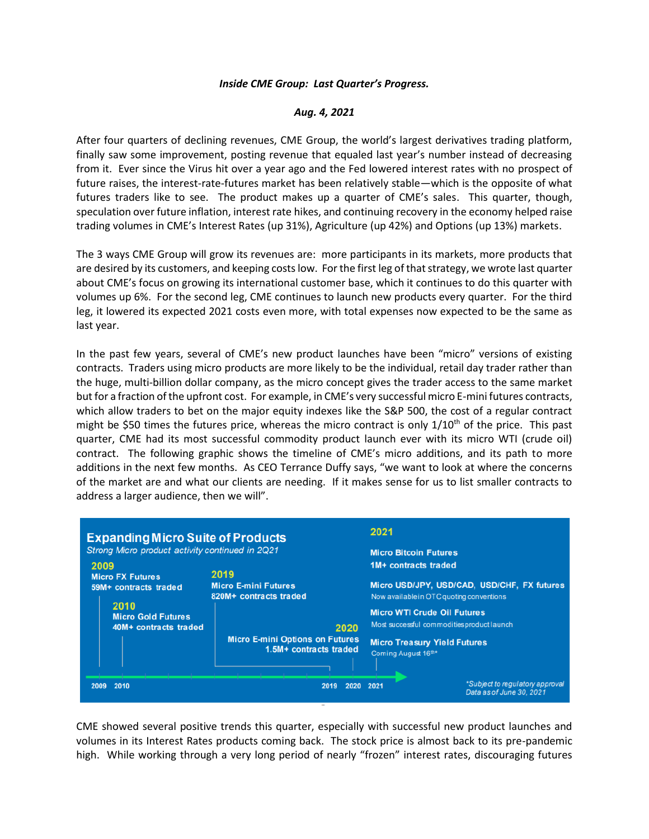## *Inside CME Group: Last Quarter's Progress.*

## *Aug. 4, 2021*

After four quarters of declining revenues, CME Group, the world's largest derivatives trading platform, finally saw some improvement, posting revenue that equaled last year's number instead of decreasing from it. Ever since the Virus hit over a year ago and the Fed lowered interest rates with no prospect of future raises, the interest-rate-futures market has been relatively stable—which is the opposite of what futures traders like to see. The product makes up a quarter of CME's sales. This quarter, though, speculation over future inflation, interest rate hikes, and continuing recovery in the economy helped raise trading volumes in CME's Interest Rates (up 31%), Agriculture (up 42%) and Options (up 13%) markets.

The 3 ways CME Group will grow its revenues are: more participants in its markets, more products that are desired by its customers, and keeping costs low. For the first leg of that strategy, we wrote last quarter about CME's focus on growing its international customer base, which it continues to do this quarter with volumes up 6%. For the second leg, CME continues to launch new products every quarter. For the third leg, it lowered its expected 2021 costs even more, with total expenses now expected to be the same as last year.

In the past few years, several of CME's new product launches have been "micro" versions of existing contracts. Traders using micro products are more likely to be the individual, retail day trader rather than the huge, multi-billion dollar company, as the micro concept gives the trader access to the same market but for a fraction of the upfront cost. For example, in CME's very successful micro E-mini futures contracts, which allow traders to bet on the major equity indexes like the S&P 500, the cost of a regular contract might be \$50 times the futures price, whereas the micro contract is only 1/10<sup>th</sup> of the price. This past quarter, CME had its most successful commodity product launch ever with its micro WTI (crude oil) contract. The following graphic shows the timeline of CME's micro additions, and its path to more additions in the next few months. As CEO Terrance Duffy says, "we want to look at where the concerns of the market are and what our clients are needing. If it makes sense for us to list smaller contracts to address a larger audience, then we will".

| <b>Expanding Micro Suite of Products</b><br>Strong Micro product activity continued in 2Q21 |                                                                  | 2021<br><b>Micro Bitcoin Futures</b>                                                                            |                                                                    |
|---------------------------------------------------------------------------------------------|------------------------------------------------------------------|-----------------------------------------------------------------------------------------------------------------|--------------------------------------------------------------------|
| 2009<br><b>Micro FX Futures</b>                                                             | 2019                                                             | 1M+ contracts traded<br>Micro USD/JPY, USD/CAD, USD/CHF, FX futures<br>Now available in OTC quoting conventions |                                                                    |
| 59M+ contracts traded<br>2010<br><b>Micro Gold Futures</b><br>40M+ contracts traded         | <b>Micro E-mini Futures</b><br>820M+ contracts traded            |                                                                                                                 |                                                                    |
|                                                                                             | 2020                                                             | <b>Micro WTI Crude Oil Futures</b><br>Most successful commodities product launch                                |                                                                    |
|                                                                                             | <b>Micro E-mini Options on Futures</b><br>1.5M+ contracts traded | <b>Micro Treasury Yield Futures</b><br>Coming August 16th*                                                      |                                                                    |
| 2010<br>2009                                                                                | 2019<br>2020                                                     | 2021                                                                                                            | <i>*Subject to regulatory approval</i><br>Data as of June 30, 2021 |

CME showed several positive trends this quarter, especially with successful new product launches and volumes in its Interest Rates products coming back. The stock price is almost back to its pre-pandemic high. While working through a very long period of nearly "frozen" interest rates, discouraging futures